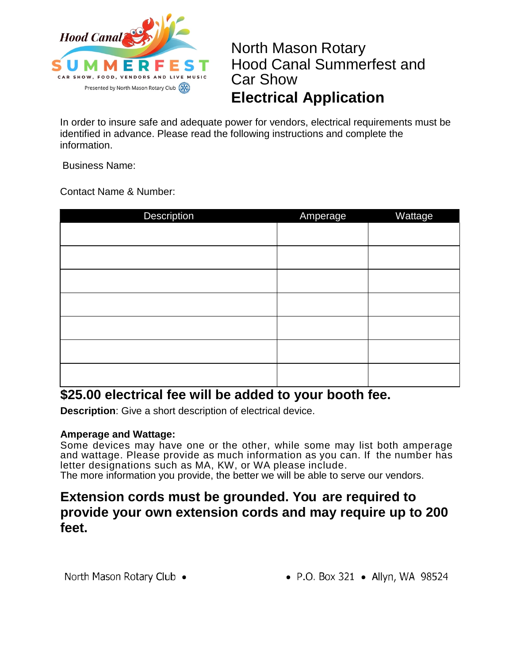

North Mason Rotary Hood Canal Summerfest and Car Show **Electrical Application**

In order to insure safe and adequate power for vendors, electrical requirements must be identified in advance. Please read the following instructions and complete the information.

Business Name:

Contact Name & Number:

| Description                                                                                                                     | Amperage                                                                       | Wattage                  |
|---------------------------------------------------------------------------------------------------------------------------------|--------------------------------------------------------------------------------|--------------------------|
|                                                                                                                                 |                                                                                |                          |
|                                                                                                                                 |                                                                                |                          |
|                                                                                                                                 |                                                                                |                          |
|                                                                                                                                 |                                                                                |                          |
|                                                                                                                                 |                                                                                |                          |
|                                                                                                                                 |                                                                                |                          |
|                                                                                                                                 |                                                                                |                          |
|                                                                                                                                 |                                                                                |                          |
| $\bullet \bullet = \bullet \bullet \bullet \bullet \bullet \bullet \bullet \bullet \bullet \bullet \bullet \bullet$<br>.<br>. . | $\mathbf{r}$ and $\mathbf{r}$<br>$\sim$ 100 $\sim$ 100 $\sim$<br><b>A</b> 1979 | $\overline{\phantom{a}}$ |

## **\$25.00 electrical fee will be added to your booth fee.**

**Description**: Give a short description of electrical device.

### **Amperage and Wattage:**

Some devices may have one or the other, while some may list both amperage and wattage. Please provide as much information as you can. If the number has letter designations such as MA, KW, or WA please include. The more information you provide, the better we will be able to serve our vendors.

## **Extension cords must be grounded. You are required to provide your own extension cords and may require up to 200 feet.**

North Mason Rotary Club •

• P.O. Box 321 • Allyn, WA 98524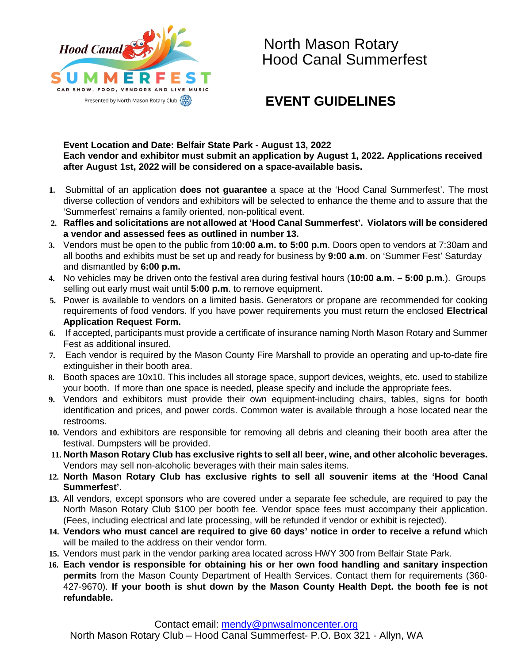

## North Mason Rotary Hood Canal Summerfest

## **EVENT GUIDELINES**

#### **Event Location and Date: Belfair State Park - August 13, 2022 Each vendor and exhibitor must submit an application by August 1, 2022. Applications received after August 1st, 2022 will be considered on a space-available basis.**

- **1.** Submittal of an application **does not guarantee** a space at the 'Hood Canal Summerfest'. The most diverse collection of vendors and exhibitors will be selected to enhance the theme and to assure that the 'Summerfest' remains a family oriented, non-political event.
- **2. Raffles and solicitations are not allowed at 'Hood Canal Summerfest'. Violators will be considered a vendor and assessed fees as outlined in number 13.**
- **3.** Vendors must be open to the public from **10:00 a.m. to 5:00 p.m**. Doors open to vendors at 7:30am and all booths and exhibits must be set up and ready for business by **9:00 a.m**. on 'Summer Fest' Saturday and dismantled by **6:00 p.m.**
- **4.** No vehicles may be driven onto the festival area during festival hours (**10:00 a.m. – 5:00 p.m**.). Groups selling out early must wait until **5:00 p.m**. to remove equipment.
- **5.** Power is available to vendors on a limited basis. Generators or propane are recommended for cooking requirements of food vendors. If you have power requirements you must return the enclosed **Electrical Application Request Form.**
- **6.** If accepted, participants must provide a certificate of insurance naming North Mason Rotary and Summer Fest as additional insured.
- **7.** Each vendor is required by the Mason County Fire Marshall to provide an operating and up-to-date fire extinguisher in their booth area.
- **8.** Booth spaces are 10x10. This includes all storage space, support devices, weights, etc. used to stabilize your booth. If more than one space is needed, please specify and include the appropriate fees.
- **9.** Vendors and exhibitors must provide their own equipment-including chairs, tables, signs for booth identification and prices, and power cords. Common water is available through a hose located near the restrooms.
- **10.** Vendors and exhibitors are responsible for removing all debris and cleaning their booth area after the festival. Dumpsters will be provided.
- **11. North Mason Rotary Club has exclusive rights to sell all beer, wine, and other alcoholic beverages.**  Vendors may sell non-alcoholic beverages with their main sales items.
- **12. North Mason Rotary Club has exclusive rights to sell all souvenir items at the 'Hood Canal Summerfest'.**
- **13.** All vendors, except sponsors who are covered under a separate fee schedule, are required to pay the North Mason Rotary Club \$100 per booth fee. Vendor space fees must accompany their application. (Fees, including electrical and late processing, will be refunded if vendor or exhibit is rejected).
- **14. Vendors who must cancel are required to give 60 days' notice in order to receive a refund** which will be mailed to the address on their vendor form.
- **15.** Vendors must park in the vendor parking area located across HWY 300 from Belfair State Park.
- **16. Each vendor is responsible for obtaining his or her own food handling and sanitary inspection permits** from the Mason County Department of Health Services. Contact them for requirements (360- 427-9670). **If your booth is shut down by the Mason County Health Dept. the booth fee is not refundable.**